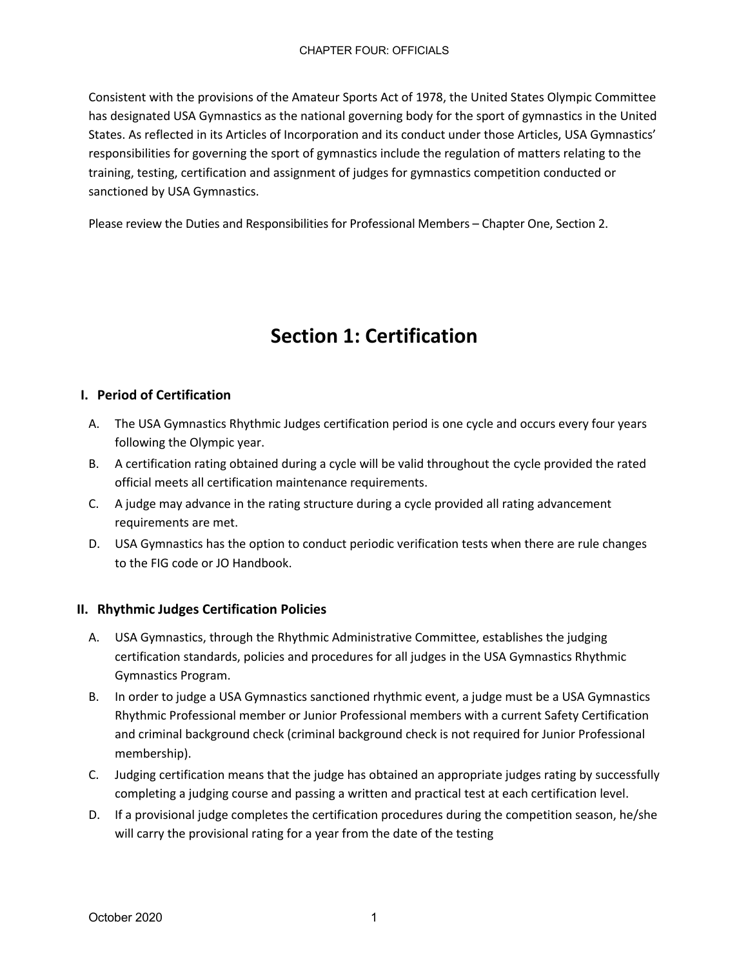Consistent with the provisions of the Amateur Sports Act of 1978, the United States Olympic Committee has designated USA Gymnastics as the national governing body for the sport of gymnastics in the United States. As reflected in its Articles of Incorporation and its conduct under those Articles, USA Gymnastics' responsibilities for governing the sport of gymnastics include the regulation of matters relating to the training, testing, certification and assignment of judges for gymnastics competition conducted or sanctioned by USA Gymnastics.

Please review the Duties and Responsibilities for Professional Members – Chapter One, Section 2.

# **Section 1: Certification**

### **I. Period of Certification**

- A. The USA Gymnastics Rhythmic Judges certification period is one cycle and occurs every four years following the Olympic year.
- B. A certification rating obtained during a cycle will be valid throughout the cycle provided the rated official meets all certification maintenance requirements.
- C. A judge may advance in the rating structure during a cycle provided all rating advancement requirements are met.
- D. USA Gymnastics has the option to conduct periodic verification tests when there are rule changes to the FIG code or JO Handbook.

### **II. Rhythmic Judges Certification Policies**

- A. USA Gymnastics, through the Rhythmic Administrative Committee, establishes the judging certification standards, policies and procedures for all judges in the USA Gymnastics Rhythmic Gymnastics Program.
- B. In order to judge a USA Gymnastics sanctioned rhythmic event, a judge must be a USA Gymnastics Rhythmic Professional member or Junior Professional members with a current Safety Certification and criminal background check (criminal background check is not required for Junior Professional membership).
- C. Judging certification means that the judge has obtained an appropriate judges rating by successfully completing a judging course and passing a written and practical test at each certification level.
- D. If a provisional judge completes the certification procedures during the competition season, he/she will carry the provisional rating for a year from the date of the testing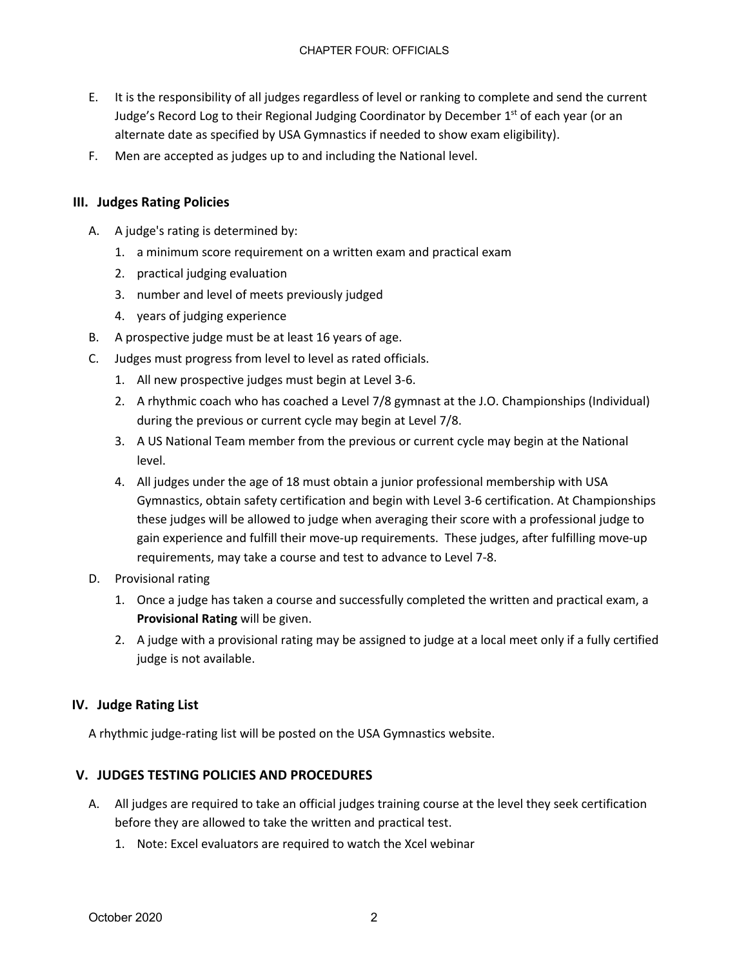- E. It is the responsibility of all judges regardless of level or ranking to complete and send the current Judge's Record Log to their Regional Judging Coordinator by December 1<sup>st</sup> of each year (or an alternate date as specified by USA Gymnastics if needed to show exam eligibility).
- F. Men are accepted as judges up to and including the National level.

### **III. Judges Rating Policies**

- A. A judge's rating is determined by:
	- 1. a minimum score requirement on a written exam and practical exam
	- 2. practical judging evaluation
	- 3. number and level of meets previously judged
	- 4. years of judging experience
- B. A prospective judge must be at least 16 years of age.
- C. Judges must progress from level to level as rated officials.
	- 1. All new prospective judges must begin at Level 3-6.
	- 2. A rhythmic coach who has coached a Level 7/8 gymnast at the J.O. Championships (Individual) during the previous or current cycle may begin at Level 7/8.
	- 3. A US National Team member from the previous or current cycle may begin at the National level.
	- 4. All judges under the age of 18 must obtain a junior professional membership with USA Gymnastics, obtain safety certification and begin with Level 3-6 certification. At Championships these judges will be allowed to judge when averaging their score with a professional judge to gain experience and fulfill their move-up requirements. These judges, after fulfilling move-up requirements, may take a course and test to advance to Level 7-8.
- D. Provisional rating
	- 1. Once a judge has taken a course and successfully completed the written and practical exam, a **Provisional Rating** will be given.
	- 2. A judge with a provisional rating may be assigned to judge at a local meet only if a fully certified judge is not available.

### **IV. Judge Rating List**

A rhythmic judge-rating list will be posted on the USA Gymnastics website.

### **V. JUDGES TESTING POLICIES AND PROCEDURES**

- A. All judges are required to take an official judges training course at the level they seek certification before they are allowed to take the written and practical test.
	- 1. Note: Excel evaluators are required to watch the Xcel webinar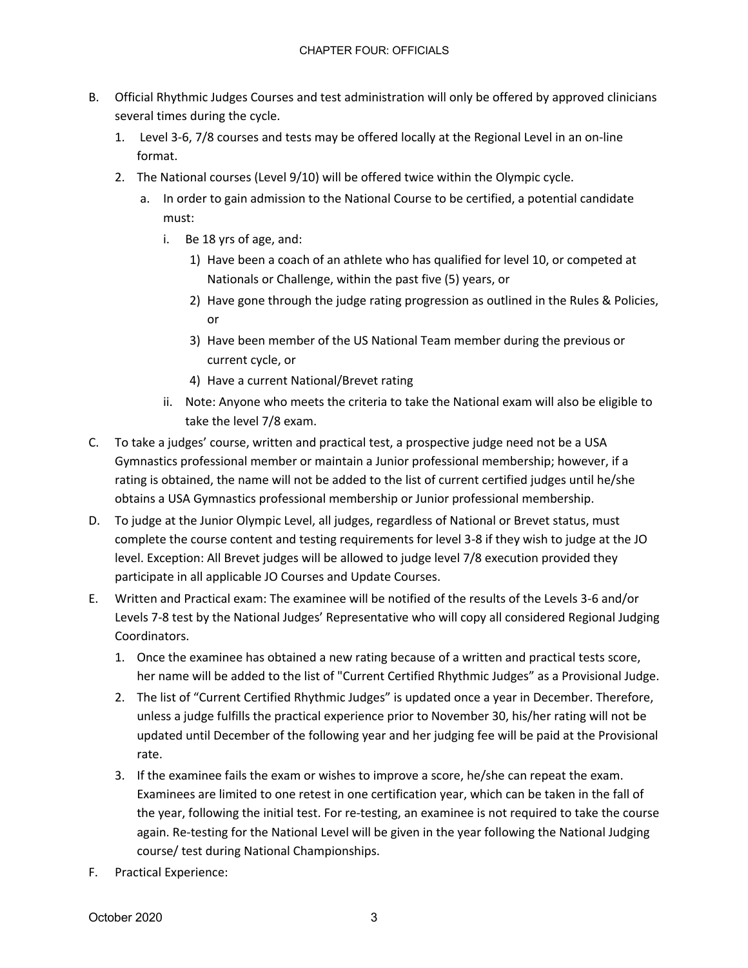- B. Official Rhythmic Judges Courses and test administration will only be offered by approved clinicians several times during the cycle.
	- 1. Level 3-6, 7/8 courses and tests may be offered locally at the Regional Level in an on-line format.
	- 2. The National courses (Level 9/10) will be offered twice within the Olympic cycle.
		- a. In order to gain admission to the National Course to be certified, a potential candidate must:
			- i. Be 18 yrs of age, and:
				- 1) Have been a coach of an athlete who has qualified for level 10, or competed at Nationals or Challenge, within the past five (5) years, or
				- 2) Have gone through the judge rating progression as outlined in the Rules & Policies, or
				- 3) Have been member of the US National Team member during the previous or current cycle, or
				- 4) Have a current National/Brevet rating
			- ii. Note: Anyone who meets the criteria to take the National exam will also be eligible to take the level 7/8 exam.
- C. To take a judges' course, written and practical test, a prospective judge need not be a USA Gymnastics professional member or maintain a Junior professional membership; however, if a rating is obtained, the name will not be added to the list of current certified judges until he/she obtains a USA Gymnastics professional membership or Junior professional membership.
- D. To judge at the Junior Olympic Level, all judges, regardless of National or Brevet status, must complete the course content and testing requirements for level 3-8 if they wish to judge at the JO level. Exception: All Brevet judges will be allowed to judge level 7/8 execution provided they participate in all applicable JO Courses and Update Courses.
- E. Written and Practical exam: The examinee will be notified of the results of the Levels 3-6 and/or Levels 7-8 test by the National Judges' Representative who will copy all considered Regional Judging Coordinators.
	- 1. Once the examinee has obtained a new rating because of a written and practical tests score, her name will be added to the list of "Current Certified Rhythmic Judges" as a Provisional Judge.
	- 2. The list of "Current Certified Rhythmic Judges" is updated once a year in December. Therefore, unless a judge fulfills the practical experience prior to November 30, his/her rating will not be updated until December of the following year and her judging fee will be paid at the Provisional rate.
	- 3. If the examinee fails the exam or wishes to improve a score, he/she can repeat the exam. Examinees are limited to one retest in one certification year, which can be taken in the fall of the year, following the initial test. For re-testing, an examinee is not required to take the course again. Re-testing for the National Level will be given in the year following the National Judging course/ test during National Championships.
- F. Practical Experience: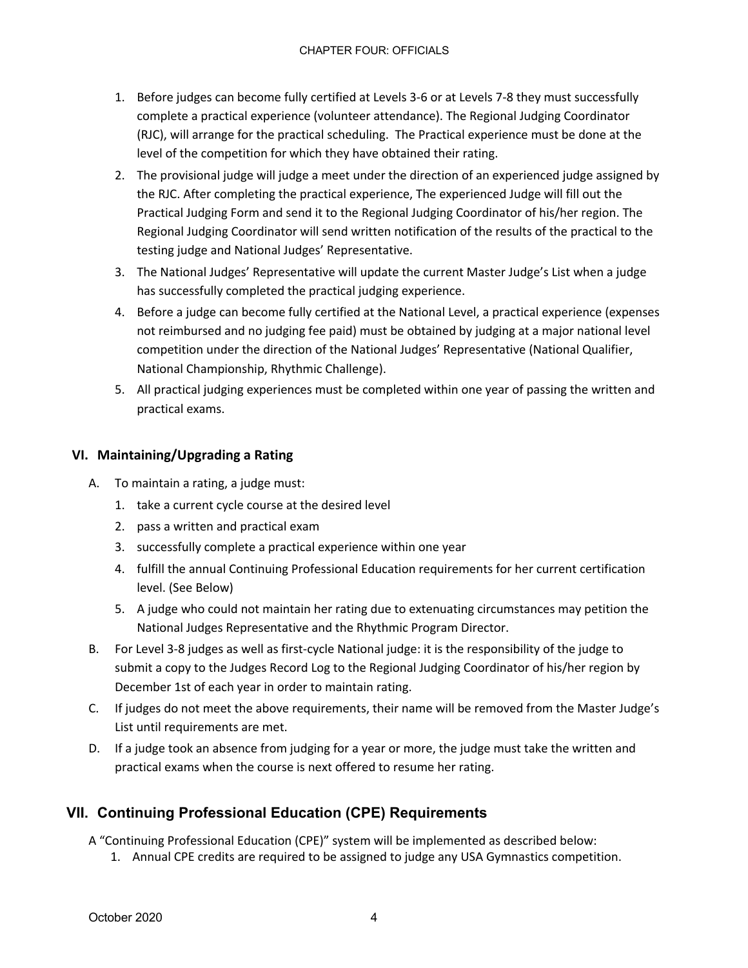- 1. Before judges can become fully certified at Levels 3-6 or at Levels 7-8 they must successfully complete a practical experience (volunteer attendance). The Regional Judging Coordinator (RJC), will arrange for the practical scheduling. The Practical experience must be done at the level of the competition for which they have obtained their rating.
- 2. The provisional judge will judge a meet under the direction of an experienced judge assigned by the RJC. After completing the practical experience, The experienced Judge will fill out the Practical Judging Form and send it to the Regional Judging Coordinator of his/her region. The Regional Judging Coordinator will send written notification of the results of the practical to the testing judge and National Judges' Representative.
- 3. The National Judges' Representative will update the current Master Judge's List when a judge has successfully completed the practical judging experience.
- 4. Before a judge can become fully certified at the National Level, a practical experience (expenses not reimbursed and no judging fee paid) must be obtained by judging at a major national level competition under the direction of the National Judges' Representative (National Qualifier, National Championship, Rhythmic Challenge).
- 5. All practical judging experiences must be completed within one year of passing the written and practical exams.

### **VI. Maintaining/Upgrading a Rating**

- A. To maintain a rating, a judge must:
	- 1. take a current cycle course at the desired level
	- 2. pass a written and practical exam
	- 3. successfully complete a practical experience within one year
	- 4. fulfill the annual Continuing Professional Education requirements for her current certification level. (See Below)
	- 5. A judge who could not maintain her rating due to extenuating circumstances may petition the National Judges Representative and the Rhythmic Program Director.
- B. For Level 3-8 judges as well as first-cycle National judge: it is the responsibility of the judge to submit a copy to the Judges Record Log to the Regional Judging Coordinator of his/her region by December 1st of each year in order to maintain rating.
- C. If judges do not meet the above requirements, their name will be removed from the Master Judge's List until requirements are met.
- D. If a judge took an absence from judging for a year or more, the judge must take the written and practical exams when the course is next offered to resume her rating.

### **VII. Continuing Professional Education (CPE) Requirements**

A "Continuing Professional Education (CPE)" system will be implemented as described below:

1. Annual CPE credits are required to be assigned to judge any USA Gymnastics competition.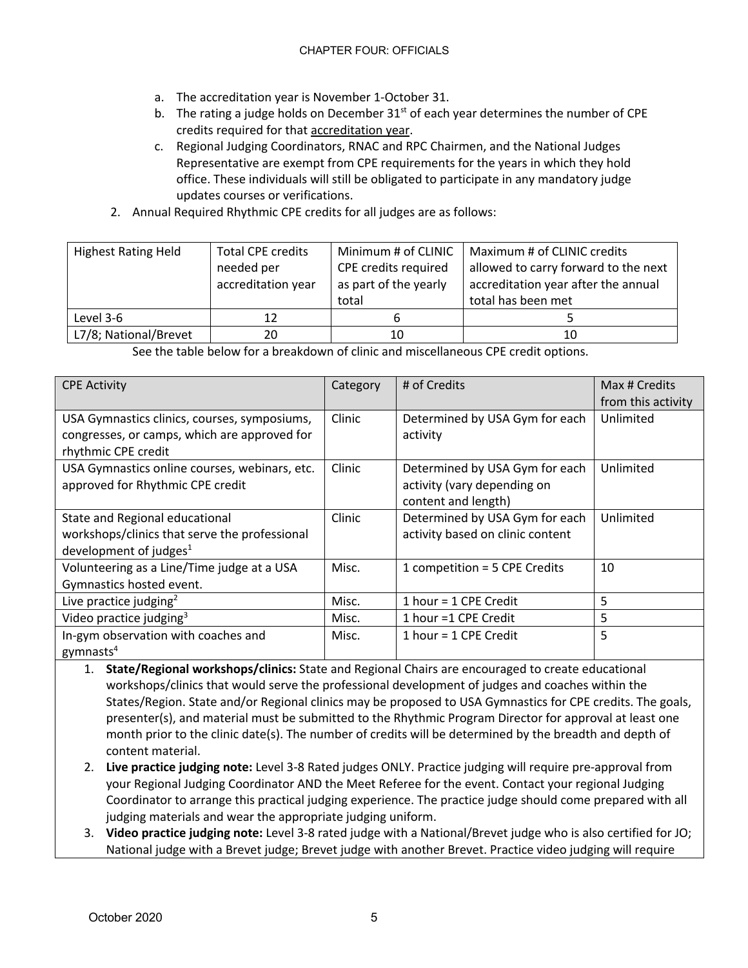- a. The accreditation year is November 1-October 31.
- b. The rating a judge holds on December  $31<sup>st</sup>$  of each year determines the number of CPE credits required for that accreditation year.
- c. Regional Judging Coordinators, RNAC and RPC Chairmen, and the National Judges Representative are exempt from CPE requirements for the years in which they hold office. These individuals will still be obligated to participate in any mandatory judge updates courses or verifications.
- 2. Annual Required Rhythmic CPE credits for all judges are as follows:

| <b>Highest Rating Held</b> | <b>Total CPE credits</b> | Minimum # of CLINIC   | Maximum # of CLINIC credits          |  |
|----------------------------|--------------------------|-----------------------|--------------------------------------|--|
|                            | needed per               | CPE credits required  | allowed to carry forward to the next |  |
|                            | accreditation year       | as part of the yearly | accreditation year after the annual  |  |
|                            |                          | total                 | total has been met                   |  |
| Level 3-6                  |                          | O                     |                                      |  |
| L7/8; National/Brevet      | 20                       | 10                    | 10                                   |  |

See the table below for a breakdown of clinic and miscellaneous CPE credit options.

| <b>CPE Activity</b>                                                                                                 | Category | # of Credits                                                                         | Max # Credits      |
|---------------------------------------------------------------------------------------------------------------------|----------|--------------------------------------------------------------------------------------|--------------------|
|                                                                                                                     |          |                                                                                      | from this activity |
| USA Gymnastics clinics, courses, symposiums,<br>congresses, or camps, which are approved for<br>rhythmic CPE credit | Clinic   | Determined by USA Gym for each<br>activity                                           | Unlimited          |
| USA Gymnastics online courses, webinars, etc.<br>approved for Rhythmic CPE credit                                   | Clinic   | Determined by USA Gym for each<br>activity (vary depending on<br>content and length) | Unlimited          |
| State and Regional educational<br>workshops/clinics that serve the professional<br>development of judges $1$        | Clinic   | Determined by USA Gym for each<br>activity based on clinic content                   | Unlimited          |
| Volunteering as a Line/Time judge at a USA<br>Gymnastics hosted event.                                              | Misc.    | 1 competition = 5 CPE Credits                                                        | 10                 |
| Live practice judging <sup>2</sup>                                                                                  | Misc.    | 1 hour = 1 CPE Credit                                                                | 5                  |
| Video practice judging <sup>3</sup>                                                                                 | Misc.    | 1 hour =1 CPE Credit                                                                 | 5                  |
| In-gym observation with coaches and<br>gymnasts $4$                                                                 | Misc.    | 1 hour = $1$ CPE Credit                                                              | 5                  |

1. **State/Regional workshops/clinics:** State and Regional Chairs are encouraged to create educational workshops/clinics that would serve the professional development of judges and coaches within the States/Region. State and/or Regional clinics may be proposed to USA Gymnastics for CPE credits. The goals, presenter(s), and material must be submitted to the Rhythmic Program Director for approval at least one month prior to the clinic date(s). The number of credits will be determined by the breadth and depth of content material.

- 2. **Live practice judging note:** Level 3-8 Rated judges ONLY. Practice judging will require pre-approval from your Regional Judging Coordinator AND the Meet Referee for the event. Contact your regional Judging Coordinator to arrange this practical judging experience. The practice judge should come prepared with all judging materials and wear the appropriate judging uniform.
- 3. **Video practice judging note:** Level 3-8 rated judge with a National/Brevet judge who is also certified for JO; National judge with a Brevet judge; Brevet judge with another Brevet. Practice video judging will require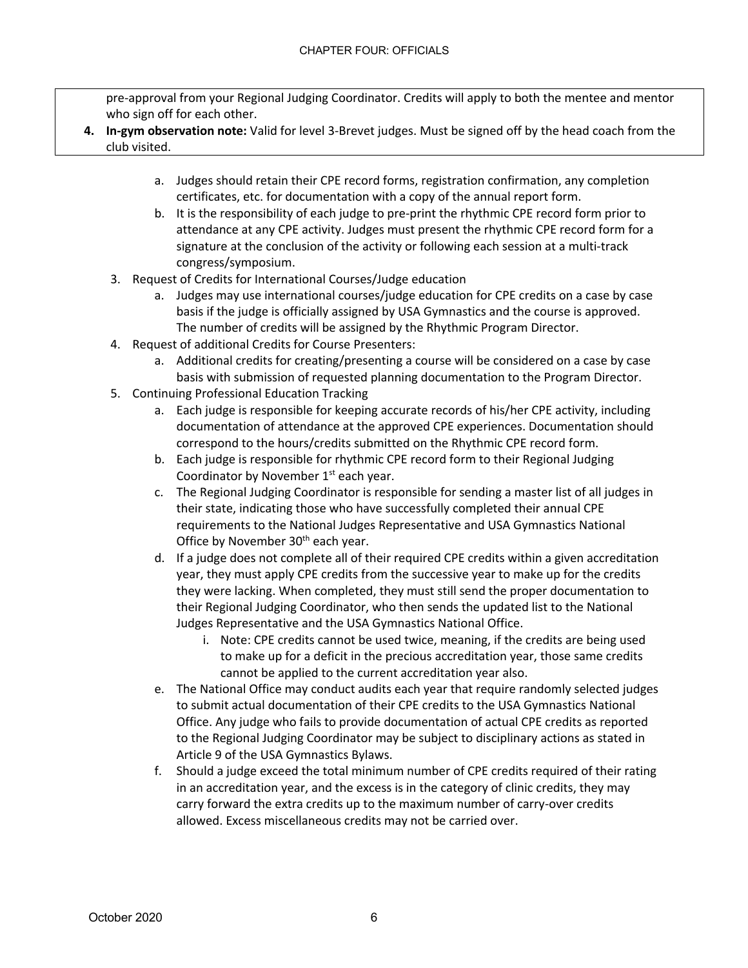pre-approval from your Regional Judging Coordinator. Credits will apply to both the mentee and mentor who sign off for each other.

- **4. In-gym observation note:** Valid for level 3-Brevet judges. Must be signed off by the head coach from the club visited.
	- a. Judges should retain their CPE record forms, registration confirmation, any completion certificates, etc. for documentation with a copy of the annual report form.
	- b. It is the responsibility of each judge to pre-print the rhythmic CPE record form prior to attendance at any CPE activity. Judges must present the rhythmic CPE record form for a signature at the conclusion of the activity or following each session at a multi-track congress/symposium.
	- 3. Request of Credits for International Courses/Judge education
		- a. Judges may use international courses/judge education for CPE credits on a case by case basis if the judge is officially assigned by USA Gymnastics and the course is approved. The number of credits will be assigned by the Rhythmic Program Director.
	- 4. Request of additional Credits for Course Presenters:
		- a. Additional credits for creating/presenting a course will be considered on a case by case basis with submission of requested planning documentation to the Program Director.
	- 5. Continuing Professional Education Tracking
		- a. Each judge is responsible for keeping accurate records of his/her CPE activity, including documentation of attendance at the approved CPE experiences. Documentation should correspond to the hours/credits submitted on the Rhythmic CPE record form.
		- b. Each judge is responsible for rhythmic CPE record form to their Regional Judging Coordinator by November  $1<sup>st</sup>$  each year.
		- c. The Regional Judging Coordinator is responsible for sending a master list of all judges in their state, indicating those who have successfully completed their annual CPE requirements to the National Judges Representative and USA Gymnastics National Office by November 30<sup>th</sup> each year.
		- d. If a judge does not complete all of their required CPE credits within a given accreditation year, they must apply CPE credits from the successive year to make up for the credits they were lacking. When completed, they must still send the proper documentation to their Regional Judging Coordinator, who then sends the updated list to the National Judges Representative and the USA Gymnastics National Office.
			- i. Note: CPE credits cannot be used twice, meaning, if the credits are being used to make up for a deficit in the precious accreditation year, those same credits cannot be applied to the current accreditation year also.
		- e. The National Office may conduct audits each year that require randomly selected judges to submit actual documentation of their CPE credits to the USA Gymnastics National Office. Any judge who fails to provide documentation of actual CPE credits as reported to the Regional Judging Coordinator may be subject to disciplinary actions as stated in Article 9 of the USA Gymnastics Bylaws.
		- f. Should a judge exceed the total minimum number of CPE credits required of their rating in an accreditation year, and the excess is in the category of clinic credits, they may carry forward the extra credits up to the maximum number of carry-over credits allowed. Excess miscellaneous credits may not be carried over.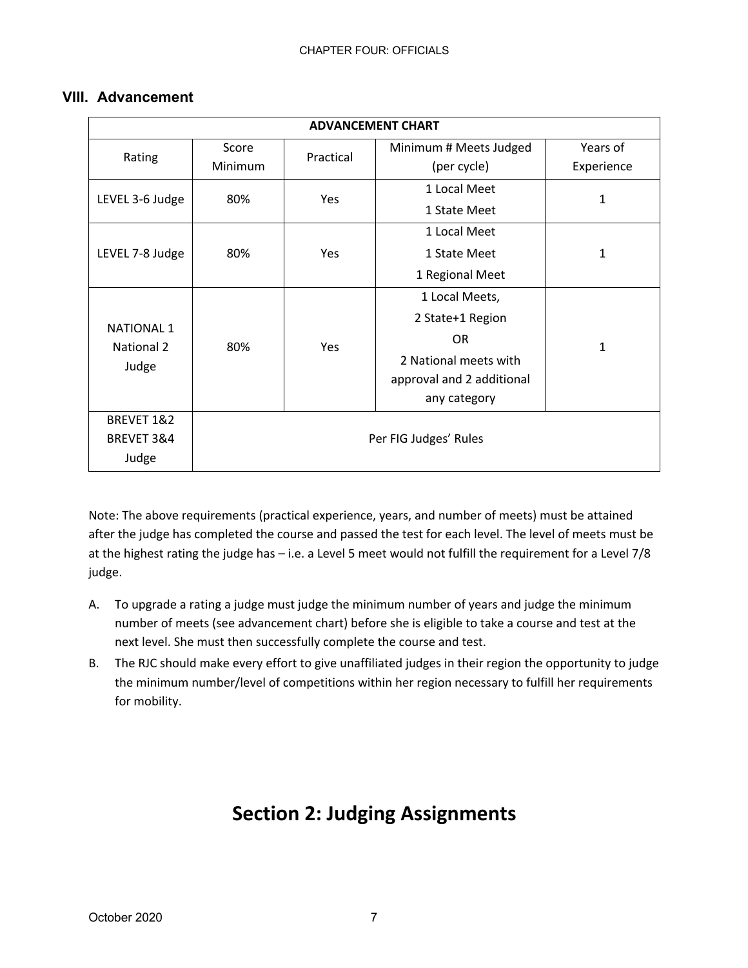### **VIII. Advancement**

| <b>ADVANCEMENT CHART</b>                        |                       |           |                           |              |  |  |  |
|-------------------------------------------------|-----------------------|-----------|---------------------------|--------------|--|--|--|
| Rating                                          | Score                 | Practical | Minimum # Meets Judged    | Years of     |  |  |  |
|                                                 | Minimum               |           | (per cycle)               | Experience   |  |  |  |
| LEVEL 3-6 Judge                                 | 80%                   | Yes       | 1 Local Meet              | 1            |  |  |  |
|                                                 |                       |           | 1 State Meet              |              |  |  |  |
|                                                 |                       |           | 1 Local Meet              |              |  |  |  |
| LEVEL 7-8 Judge                                 | 80%                   | Yes       | 1 State Meet              | 1            |  |  |  |
|                                                 |                       |           | 1 Regional Meet           |              |  |  |  |
| <b>NATIONAL 1</b><br><b>National 2</b><br>Judge | 80%                   | Yes       | 1 Local Meets,            | $\mathbf{1}$ |  |  |  |
|                                                 |                       |           | 2 State+1 Region          |              |  |  |  |
|                                                 |                       |           | <b>OR</b>                 |              |  |  |  |
|                                                 |                       |           | 2 National meets with     |              |  |  |  |
|                                                 |                       |           | approval and 2 additional |              |  |  |  |
|                                                 |                       |           | any category              |              |  |  |  |
| BREVET 1&2                                      |                       |           |                           |              |  |  |  |
| BREVET 3&4                                      | Per FIG Judges' Rules |           |                           |              |  |  |  |
| Judge                                           |                       |           |                           |              |  |  |  |

Note: The above requirements (practical experience, years, and number of meets) must be attained after the judge has completed the course and passed the test for each level. The level of meets must be at the highest rating the judge has – i.e. a Level 5 meet would not fulfill the requirement for a Level 7/8 judge.

- A. To upgrade a rating a judge must judge the minimum number of years and judge the minimum number of meets (see advancement chart) before she is eligible to take a course and test at the next level. She must then successfully complete the course and test.
- B. The RJC should make every effort to give unaffiliated judges in their region the opportunity to judge the minimum number/level of competitions within her region necessary to fulfill her requirements for mobility.

# **Section 2: Judging Assignments**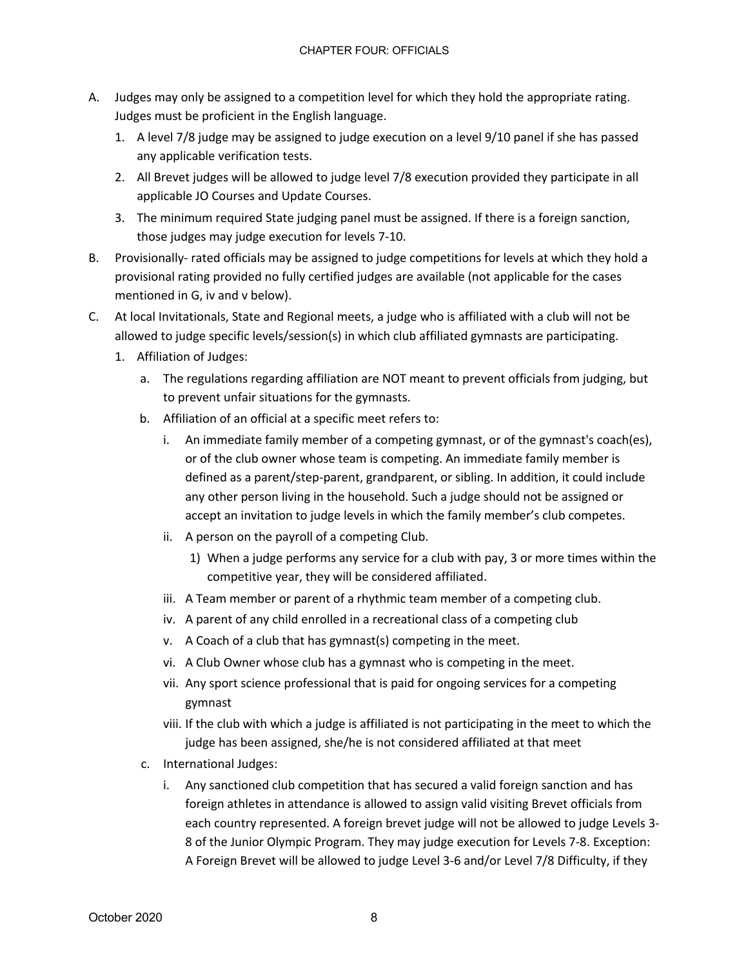- A. Judges may only be assigned to a competition level for which they hold the appropriate rating. Judges must be proficient in the English language.
	- 1. A level 7/8 judge may be assigned to judge execution on a level 9/10 panel if she has passed any applicable verification tests.
	- 2. All Brevet judges will be allowed to judge level 7/8 execution provided they participate in all applicable JO Courses and Update Courses.
	- 3. The minimum required State judging panel must be assigned. If there is a foreign sanction, those judges may judge execution for levels 7-10.
- B. Provisionally- rated officials may be assigned to judge competitions for levels at which they hold a provisional rating provided no fully certified judges are available (not applicable for the cases mentioned in G, iv and v below).
- C. At local Invitationals, State and Regional meets, a judge who is affiliated with a club will not be allowed to judge specific levels/session(s) in which club affiliated gymnasts are participating.
	- 1. Affiliation of Judges:
		- a. The regulations regarding affiliation are NOT meant to prevent officials from judging, but to prevent unfair situations for the gymnasts.
		- b. Affiliation of an official at a specific meet refers to:
			- i. An immediate family member of a competing gymnast, or of the gymnast's coach(es), or of the club owner whose team is competing. An immediate family member is defined as a parent/step-parent, grandparent, or sibling. In addition, it could include any other person living in the household. Such a judge should not be assigned or accept an invitation to judge levels in which the family member's club competes.
			- ii. A person on the payroll of a competing Club.
				- 1) When a judge performs any service for a club with pay, 3 or more times within the competitive year, they will be considered affiliated.
			- iii. A Team member or parent of a rhythmic team member of a competing club.
			- iv. A parent of any child enrolled in a recreational class of a competing club
			- v. A Coach of a club that has gymnast(s) competing in the meet.
			- vi. A Club Owner whose club has a gymnast who is competing in the meet.
			- vii. Any sport science professional that is paid for ongoing services for a competing gymnast
			- viii. If the club with which a judge is affiliated is not participating in the meet to which the judge has been assigned, she/he is not considered affiliated at that meet
		- c. International Judges:
			- i. Any sanctioned club competition that has secured a valid foreign sanction and has foreign athletes in attendance is allowed to assign valid visiting Brevet officials from each country represented. A foreign brevet judge will not be allowed to judge Levels 3- 8 of the Junior Olympic Program. They may judge execution for Levels 7-8. Exception: A Foreign Brevet will be allowed to judge Level 3-6 and/or Level 7/8 Difficulty, if they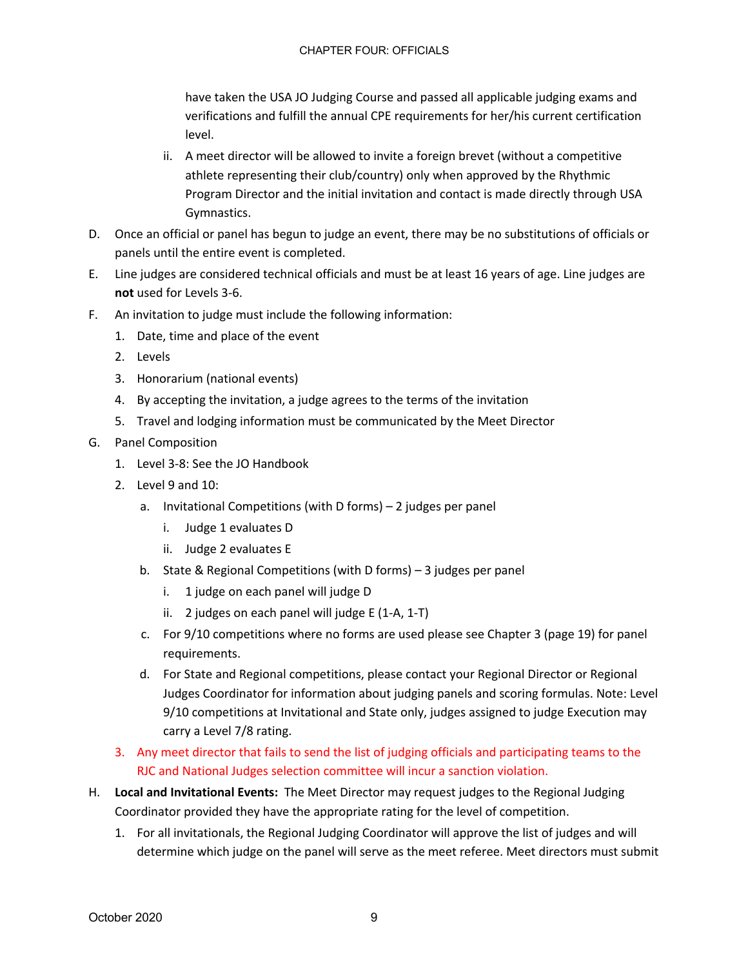have taken the USA JO Judging Course and passed all applicable judging exams and verifications and fulfill the annual CPE requirements for her/his current certification level.

- ii. A meet director will be allowed to invite a foreign brevet (without a competitive athlete representing their club/country) only when approved by the Rhythmic Program Director and the initial invitation and contact is made directly through USA Gymnastics.
- D. Once an official or panel has begun to judge an event, there may be no substitutions of officials or panels until the entire event is completed.
- E. Line judges are considered technical officials and must be at least 16 years of age. Line judges are **not** used for Levels 3-6.
- F. An invitation to judge must include the following information:
	- 1. Date, time and place of the event
	- 2. Levels
	- 3. Honorarium (national events)
	- 4. By accepting the invitation, a judge agrees to the terms of the invitation
	- 5. Travel and lodging information must be communicated by the Meet Director
- G. Panel Composition
	- 1. Level 3-8: See the JO Handbook
	- 2. Level 9 and 10:
		- a. Invitational Competitions (with D forms) 2 judges per panel
			- i. Judge 1 evaluates D
			- ii. Judge 2 evaluates E
		- b. State & Regional Competitions (with D forms) 3 judges per panel
			- i. 1 judge on each panel will judge D
			- ii. 2 judges on each panel will judge E (1-A, 1-T)
		- c. For 9/10 competitions where no forms are used please see Chapter 3 (page 19) for panel requirements.
		- d. For State and Regional competitions, please contact your Regional Director or Regional Judges Coordinator for information about judging panels and scoring formulas. Note: Level 9/10 competitions at Invitational and State only, judges assigned to judge Execution may carry a Level 7/8 rating.
	- 3. Any meet director that fails to send the list of judging officials and participating teams to the RJC and National Judges selection committee will incur a sanction violation.
- H. **Local and Invitational Events:** The Meet Director may request judges to the Regional Judging Coordinator provided they have the appropriate rating for the level of competition.
	- 1. For all invitationals, the Regional Judging Coordinator will approve the list of judges and will determine which judge on the panel will serve as the meet referee. Meet directors must submit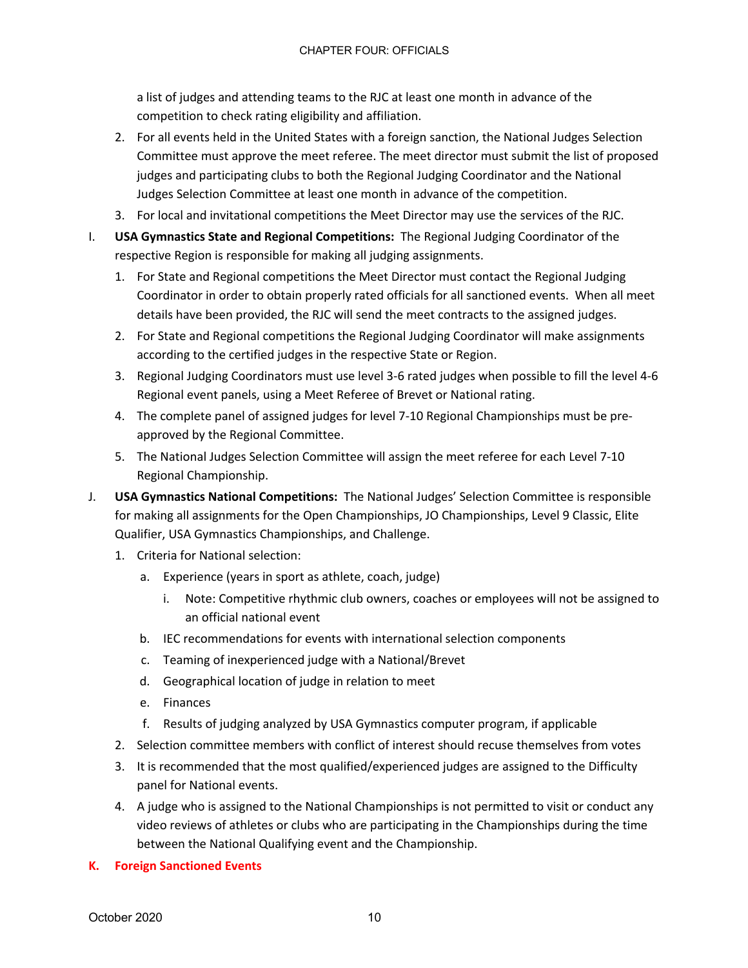a list of judges and attending teams to the RJC at least one month in advance of the competition to check rating eligibility and affiliation.

- 2. For all events held in the United States with a foreign sanction, the National Judges Selection Committee must approve the meet referee. The meet director must submit the list of proposed judges and participating clubs to both the Regional Judging Coordinator and the National Judges Selection Committee at least one month in advance of the competition.
- 3. For local and invitational competitions the Meet Director may use the services of the RJC.
- I. **USA Gymnastics State and Regional Competitions:** The Regional Judging Coordinator of the respective Region is responsible for making all judging assignments.
	- 1. For State and Regional competitions the Meet Director must contact the Regional Judging Coordinator in order to obtain properly rated officials for all sanctioned events. When all meet details have been provided, the RJC will send the meet contracts to the assigned judges.
	- 2. For State and Regional competitions the Regional Judging Coordinator will make assignments according to the certified judges in the respective State or Region.
	- 3. Regional Judging Coordinators must use level 3-6 rated judges when possible to fill the level 4-6 Regional event panels, using a Meet Referee of Brevet or National rating.
	- 4. The complete panel of assigned judges for level 7-10 Regional Championships must be preapproved by the Regional Committee.
	- 5. The National Judges Selection Committee will assign the meet referee for each Level 7-10 Regional Championship.
- J. **USA Gymnastics National Competitions:** The National Judges' Selection Committee is responsible for making all assignments for the Open Championships, JO Championships, Level 9 Classic, Elite Qualifier, USA Gymnastics Championships, and Challenge.
	- 1. Criteria for National selection:
		- a. Experience (years in sport as athlete, coach, judge)
			- i. Note: Competitive rhythmic club owners, coaches or employees will not be assigned to an official national event
		- b. IEC recommendations for events with international selection components
		- c. Teaming of inexperienced judge with a National/Brevet
		- d. Geographical location of judge in relation to meet
		- e. Finances
		- f. Results of judging analyzed by USA Gymnastics computer program, if applicable
	- 2. Selection committee members with conflict of interest should recuse themselves from votes
	- 3. It is recommended that the most qualified/experienced judges are assigned to the Difficulty panel for National events.
	- 4. A judge who is assigned to the National Championships is not permitted to visit or conduct any video reviews of athletes or clubs who are participating in the Championships during the time between the National Qualifying event and the Championship.
- **K. Foreign Sanctioned Events**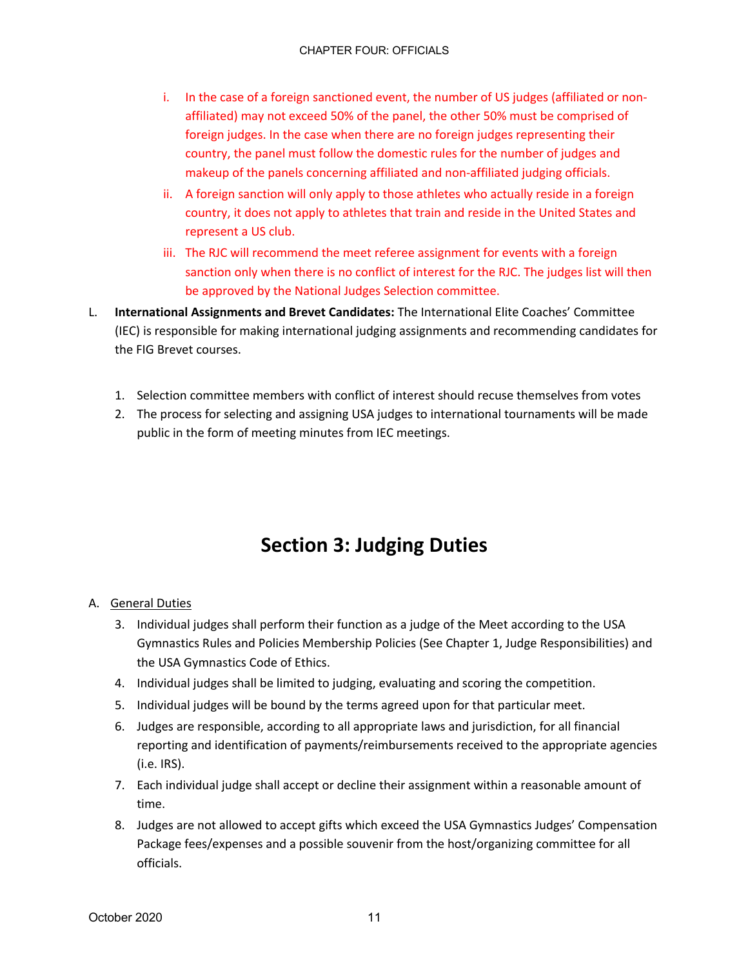- i. In the case of a foreign sanctioned event, the number of US judges (affiliated or nonaffiliated) may not exceed 50% of the panel, the other 50% must be comprised of foreign judges. In the case when there are no foreign judges representing their country, the panel must follow the domestic rules for the number of judges and makeup of the panels concerning affiliated and non-affiliated judging officials.
- ii. A foreign sanction will only apply to those athletes who actually reside in a foreign country, it does not apply to athletes that train and reside in the United States and represent a US club.
- iii. The RJC will recommend the meet referee assignment for events with a foreign sanction only when there is no conflict of interest for the RJC. The judges list will then be approved by the National Judges Selection committee.
- L. **International Assignments and Brevet Candidates:** The International Elite Coaches' Committee (IEC) is responsible for making international judging assignments and recommending candidates for the FIG Brevet courses.
	- 1. Selection committee members with conflict of interest should recuse themselves from votes
	- 2. The process for selecting and assigning USA judges to international tournaments will be made public in the form of meeting minutes from IEC meetings.

# **Section 3: Judging Duties**

### A. General Duties

- 3. Individual judges shall perform their function as a judge of the Meet according to the USA Gymnastics Rules and Policies Membership Policies (See Chapter 1, Judge Responsibilities) and the USA Gymnastics Code of Ethics.
- 4. Individual judges shall be limited to judging, evaluating and scoring the competition.
- 5. Individual judges will be bound by the terms agreed upon for that particular meet.
- 6. Judges are responsible, according to all appropriate laws and jurisdiction, for all financial reporting and identification of payments/reimbursements received to the appropriate agencies (i.e. IRS).
- 7. Each individual judge shall accept or decline their assignment within a reasonable amount of time.
- 8. Judges are not allowed to accept gifts which exceed the USA Gymnastics Judges' Compensation Package fees/expenses and a possible souvenir from the host/organizing committee for all officials.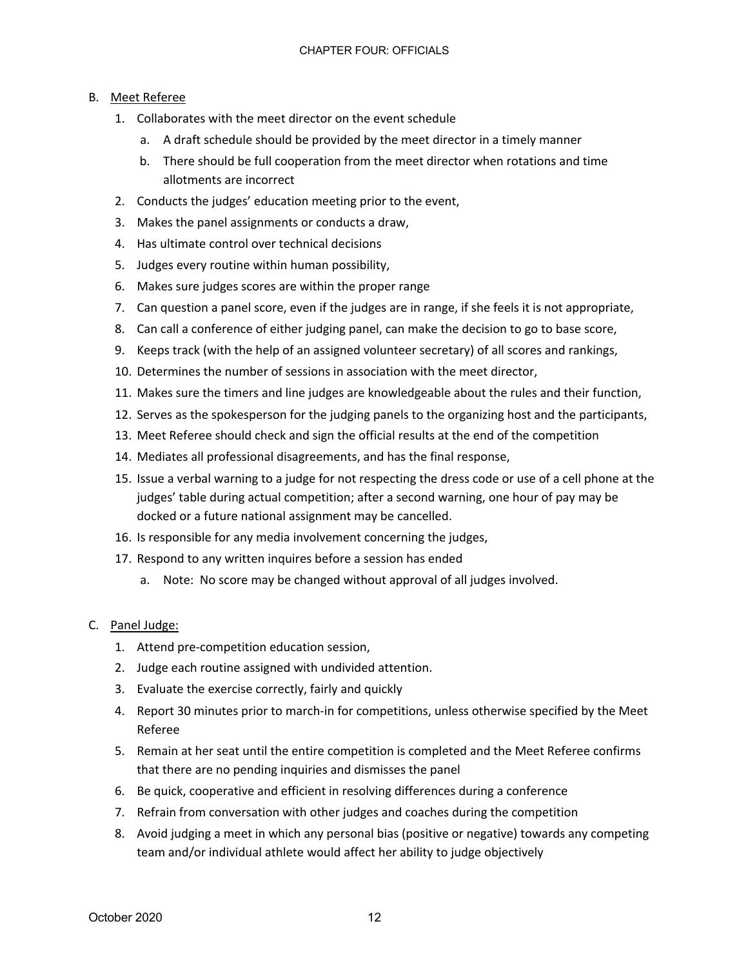### B. Meet Referee

- 1. Collaborates with the meet director on the event schedule
	- a. A draft schedule should be provided by the meet director in a timely manner
	- b. There should be full cooperation from the meet director when rotations and time allotments are incorrect
- 2. Conducts the judges' education meeting prior to the event,
- 3. Makes the panel assignments or conducts a draw,
- 4. Has ultimate control over technical decisions
- 5. Judges every routine within human possibility,
- 6. Makes sure judges scores are within the proper range
- 7. Can question a panel score, even if the judges are in range, if she feels it is not appropriate,
- 8. Can call a conference of either judging panel, can make the decision to go to base score,
- 9. Keeps track (with the help of an assigned volunteer secretary) of all scores and rankings,
- 10. Determines the number of sessions in association with the meet director,
- 11. Makes sure the timers and line judges are knowledgeable about the rules and their function,
- 12. Serves as the spokesperson for the judging panels to the organizing host and the participants,
- 13. Meet Referee should check and sign the official results at the end of the competition
- 14. Mediates all professional disagreements, and has the final response,
- 15. Issue a verbal warning to a judge for not respecting the dress code or use of a cell phone at the judges' table during actual competition; after a second warning, one hour of pay may be docked or a future national assignment may be cancelled.
- 16. Is responsible for any media involvement concerning the judges,
- 17. Respond to any written inquires before a session has ended
	- a. Note: No score may be changed without approval of all judges involved.

#### C. Panel Judge:

- 1. Attend pre-competition education session,
- 2. Judge each routine assigned with undivided attention.
- 3. Evaluate the exercise correctly, fairly and quickly
- 4. Report 30 minutes prior to march-in for competitions, unless otherwise specified by the Meet Referee
- 5. Remain at her seat until the entire competition is completed and the Meet Referee confirms that there are no pending inquiries and dismisses the panel
- 6. Be quick, cooperative and efficient in resolving differences during a conference
- 7. Refrain from conversation with other judges and coaches during the competition
- 8. Avoid judging a meet in which any personal bias (positive or negative) towards any competing team and/or individual athlete would affect her ability to judge objectively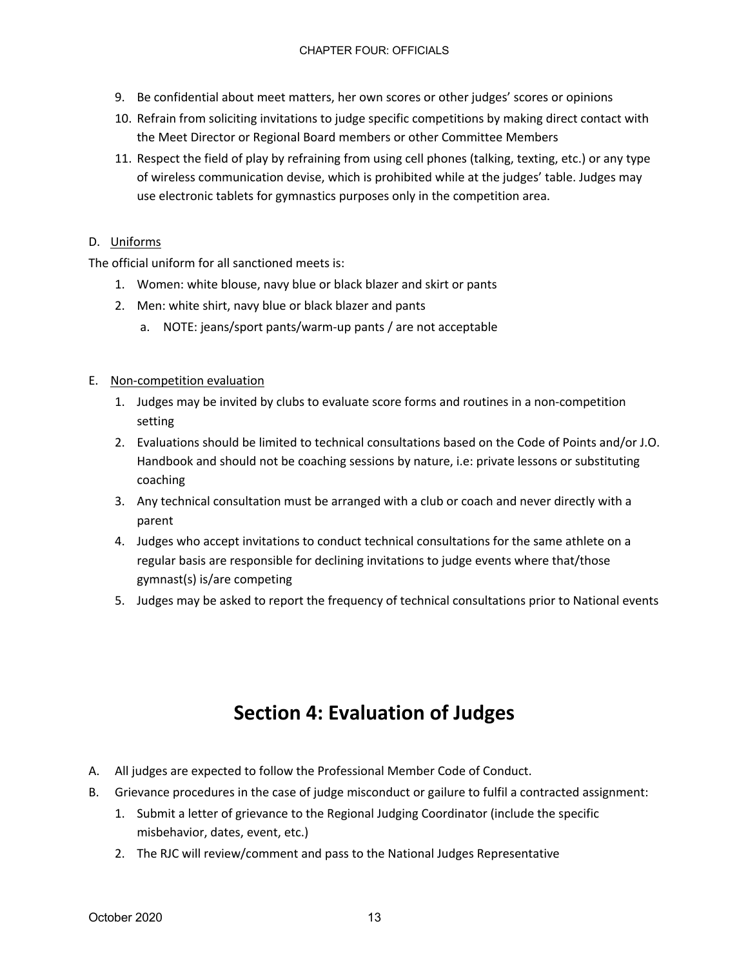- 9. Be confidential about meet matters, her own scores or other judges' scores or opinions
- 10. Refrain from soliciting invitations to judge specific competitions by making direct contact with the Meet Director or Regional Board members or other Committee Members
- 11. Respect the field of play by refraining from using cell phones (talking, texting, etc.) or any type of wireless communication devise, which is prohibited while at the judges' table. Judges may use electronic tablets for gymnastics purposes only in the competition area.

#### D. Uniforms

The official uniform for all sanctioned meets is:

- 1. Women: white blouse, navy blue or black blazer and skirt or pants
- 2. Men: white shirt, navy blue or black blazer and pants
	- a. NOTE: jeans/sport pants/warm-up pants / are not acceptable

#### E. Non-competition evaluation

- 1. Judges may be invited by clubs to evaluate score forms and routines in a non-competition setting
- 2. Evaluations should be limited to technical consultations based on the Code of Points and/or J.O. Handbook and should not be coaching sessions by nature, i.e: private lessons or substituting coaching
- 3. Any technical consultation must be arranged with a club or coach and never directly with a parent
- 4. Judges who accept invitations to conduct technical consultations for the same athlete on a regular basis are responsible for declining invitations to judge events where that/those gymnast(s) is/are competing
- 5. Judges may be asked to report the frequency of technical consultations prior to National events

### **Section 4: Evaluation of Judges**

- A. All judges are expected to follow the Professional Member Code of Conduct.
- B. Grievance procedures in the case of judge misconduct or gailure to fulfil a contracted assignment:
	- 1. Submit a letter of grievance to the Regional Judging Coordinator (include the specific misbehavior, dates, event, etc.)
	- 2. The RJC will review/comment and pass to the National Judges Representative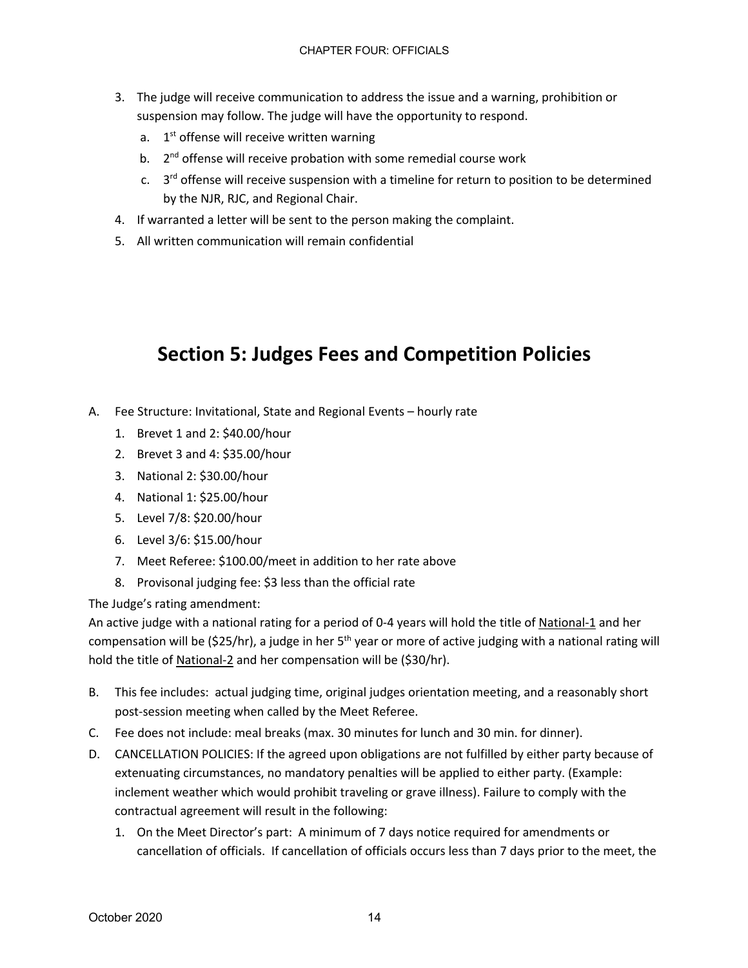- 3. The judge will receive communication to address the issue and a warning, prohibition or suspension may follow. The judge will have the opportunity to respond.
	- a.  $1<sup>st</sup>$  offense will receive written warning
	- b.  $2<sup>nd</sup>$  offense will receive probation with some remedial course work
	- c.  $3^{rd}$  offense will receive suspension with a timeline for return to position to be determined by the NJR, RJC, and Regional Chair.
- 4. If warranted a letter will be sent to the person making the complaint.
- 5. All written communication will remain confidential

## **Section 5: Judges Fees and Competition Policies**

- A. Fee Structure: Invitational, State and Regional Events hourly rate
	- 1. Brevet 1 and 2: \$40.00/hour
	- 2. Brevet 3 and 4: \$35.00/hour
	- 3. National 2: \$30.00/hour
	- 4. National 1: \$25.00/hour
	- 5. Level 7/8: \$20.00/hour
	- 6. Level 3/6: \$15.00/hour
	- 7. Meet Referee: \$100.00/meet in addition to her rate above
	- 8. Provisonal judging fee: \$3 less than the official rate

The Judge's rating amendment:

An active judge with a national rating for a period of 0-4 years will hold the title of National-1 and her compensation will be (\$25/hr), a judge in her  $5<sup>th</sup>$  year or more of active judging with a national rating will hold the title of National-2 and her compensation will be (\$30/hr).

- B. This fee includes: actual judging time, original judges orientation meeting, and a reasonably short post-session meeting when called by the Meet Referee.
- C. Fee does not include: meal breaks (max. 30 minutes for lunch and 30 min. for dinner).
- D. CANCELLATION POLICIES: If the agreed upon obligations are not fulfilled by either party because of extenuating circumstances, no mandatory penalties will be applied to either party. (Example: inclement weather which would prohibit traveling or grave illness). Failure to comply with the contractual agreement will result in the following:
	- 1. On the Meet Director's part: A minimum of 7 days notice required for amendments or cancellation of officials. If cancellation of officials occurs less than 7 days prior to the meet, the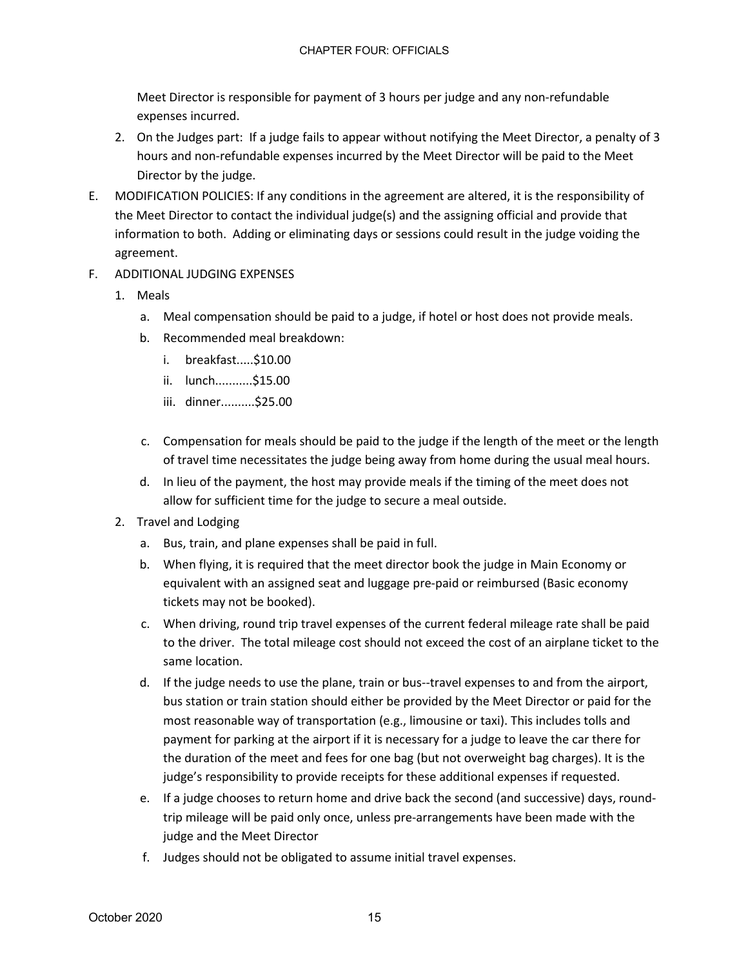Meet Director is responsible for payment of 3 hours per judge and any non-refundable expenses incurred.

- 2. On the Judges part: If a judge fails to appear without notifying the Meet Director, a penalty of 3 hours and non-refundable expenses incurred by the Meet Director will be paid to the Meet Director by the judge.
- E. MODIFICATION POLICIES: If any conditions in the agreement are altered, it is the responsibility of the Meet Director to contact the individual judge(s) and the assigning official and provide that information to both. Adding or eliminating days or sessions could result in the judge voiding the agreement.
- F. ADDITIONAL JUDGING EXPENSES
	- 1. Meals
		- a. Meal compensation should be paid to a judge, if hotel or host does not provide meals.
		- b. Recommended meal breakdown:
			- i. breakfast.....\$10.00
			- ii. lunch...........\$15.00
			- iii. dinner..........\$25.00
		- c. Compensation for meals should be paid to the judge if the length of the meet or the length of travel time necessitates the judge being away from home during the usual meal hours.
		- d. In lieu of the payment, the host may provide meals if the timing of the meet does not allow for sufficient time for the judge to secure a meal outside.
	- 2. Travel and Lodging
		- a. Bus, train, and plane expenses shall be paid in full.
		- b. When flying, it is required that the meet director book the judge in Main Economy or equivalent with an assigned seat and luggage pre-paid or reimbursed (Basic economy tickets may not be booked).
		- c. When driving, round trip travel expenses of the current federal mileage rate shall be paid to the driver. The total mileage cost should not exceed the cost of an airplane ticket to the same location.
		- d. If the judge needs to use the plane, train or bus--travel expenses to and from the airport, bus station or train station should either be provided by the Meet Director or paid for the most reasonable way of transportation (e.g., limousine or taxi). This includes tolls and payment for parking at the airport if it is necessary for a judge to leave the car there for the duration of the meet and fees for one bag (but not overweight bag charges). It is the judge's responsibility to provide receipts for these additional expenses if requested.
		- e. If a judge chooses to return home and drive back the second (and successive) days, roundtrip mileage will be paid only once, unless pre-arrangements have been made with the judge and the Meet Director
		- f. Judges should not be obligated to assume initial travel expenses.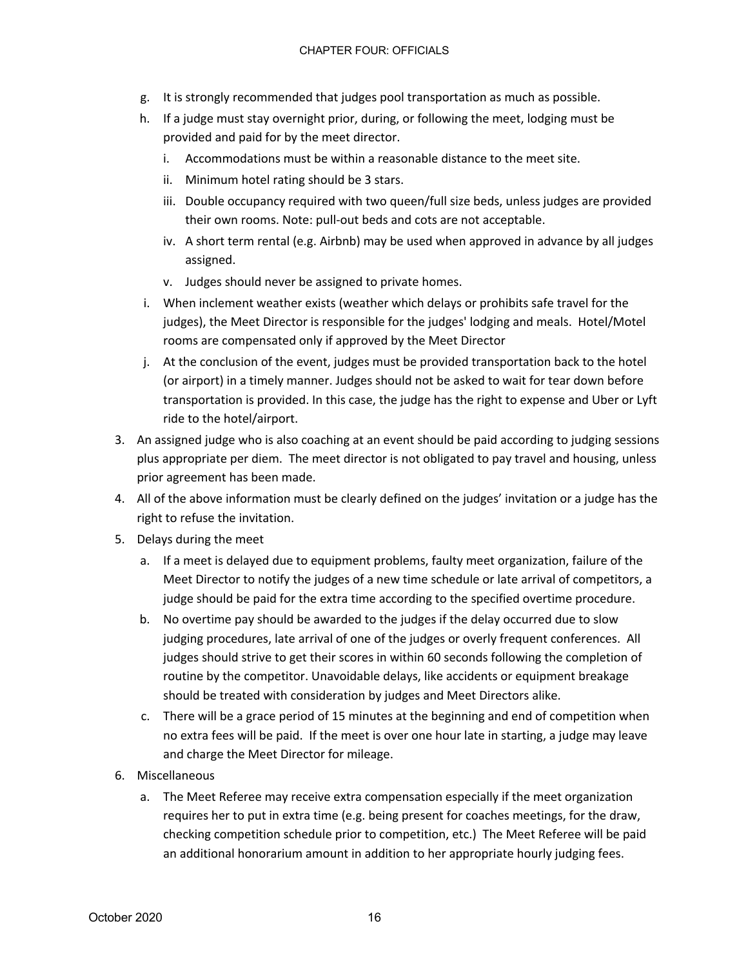- g. It is strongly recommended that judges pool transportation as much as possible.
- h. If a judge must stay overnight prior, during, or following the meet, lodging must be provided and paid for by the meet director.
	- i. Accommodations must be within a reasonable distance to the meet site.
	- ii. Minimum hotel rating should be 3 stars.
	- iii. Double occupancy required with two queen/full size beds, unless judges are provided their own rooms. Note: pull-out beds and cots are not acceptable.
	- iv. A short term rental (e.g. Airbnb) may be used when approved in advance by all judges assigned.
	- v. Judges should never be assigned to private homes.
- i. When inclement weather exists (weather which delays or prohibits safe travel for the judges), the Meet Director is responsible for the judges' lodging and meals. Hotel/Motel rooms are compensated only if approved by the Meet Director
- j. At the conclusion of the event, judges must be provided transportation back to the hotel (or airport) in a timely manner. Judges should not be asked to wait for tear down before transportation is provided. In this case, the judge has the right to expense and Uber or Lyft ride to the hotel/airport.
- 3. An assigned judge who is also coaching at an event should be paid according to judging sessions plus appropriate per diem. The meet director is not obligated to pay travel and housing, unless prior agreement has been made.
- 4. All of the above information must be clearly defined on the judges' invitation or a judge has the right to refuse the invitation.
- 5. Delays during the meet
	- a. If a meet is delayed due to equipment problems, faulty meet organization, failure of the Meet Director to notify the judges of a new time schedule or late arrival of competitors, a judge should be paid for the extra time according to the specified overtime procedure.
	- b. No overtime pay should be awarded to the judges if the delay occurred due to slow judging procedures, late arrival of one of the judges or overly frequent conferences. All judges should strive to get their scores in within 60 seconds following the completion of routine by the competitor. Unavoidable delays, like accidents or equipment breakage should be treated with consideration by judges and Meet Directors alike.
	- c. There will be a grace period of 15 minutes at the beginning and end of competition when no extra fees will be paid. If the meet is over one hour late in starting, a judge may leave and charge the Meet Director for mileage.
- 6. Miscellaneous
	- a. The Meet Referee may receive extra compensation especially if the meet organization requires her to put in extra time (e.g. being present for coaches meetings, for the draw, checking competition schedule prior to competition, etc.) The Meet Referee will be paid an additional honorarium amount in addition to her appropriate hourly judging fees.